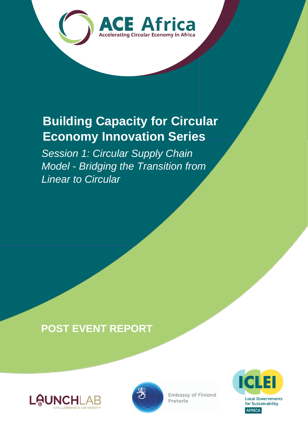

## **Building Capacity for Circular Economy Innovation Series**

*Session 1: Circular Supply Chain Model - Bridging the Transition from Linear to Circular*

## **POST EVENT REPORT**





**Embassy of Finland** Pretoria

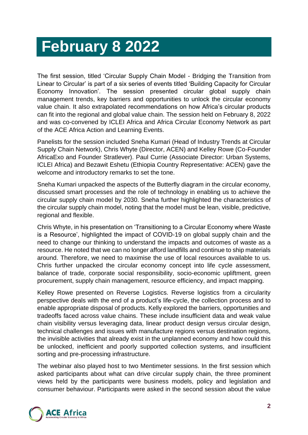## **February 8 2022**

The first session, titled 'Circular Supply Chain Model - Bridging the Transition from Linear to Circular' is part of a six series of events titled 'Building Capacity for Circular Economy Innovation'. The session presented circular global supply chain management trends, key barriers and opportunities to unlock the circular economy value chain. It also extrapolated recommendations on how Africa's circular products can fit into the regional and global value chain. The session held on February 8, 2022 and was co-convened by ICLEI Africa and Africa Circular Economy Network as part of the ACE Africa Action and Learning Events.

Panelists for the session included Sneha Kumari (Head of Industry Trends at Circular Supply Chain Network), Chris Whyte (Director, ACEN) and Kelley Rowe (Co-Founder AfricaExo and Founder Stratlever). Paul Currie (Associate Director: Urban Systems, ICLEI Africa) and Bezawit Eshetu (Ethiopia Country Representative: ACEN) gave the welcome and introductory remarks to set the tone.

Sneha Kumari unpacked the aspects of the Butterfly diagram in the circular economy, discussed smart processes and the role of technology in enabling us to achieve the circular supply chain model by 2030. Sneha further highlighted the characteristics of the circular supply chain model, noting that the model must be lean, visible, predictive, regional and flexible.

Chris Whyte, in his presentation on 'Transitioning to a Circular Economy where Waste is a Resource', highlighted the impact of COVID-19 on global supply chain and the need to change our thinking to understand the impacts and outcomes of waste as a resource. He noted that we can no longer afford landfills and continue to ship materials around. Therefore, we need to maximise the use of local resources available to us. Chris further unpacked the circular economy concept into life cycle assessment, balance of trade, corporate social responsibility, socio-economic upliftment, green procurement, supply chain management, resource efficiency, and impact mapping.

Kelley Rowe presented on Reverse Logistics. Reverse logistics from a circularity perspective deals with the end of a product's life-cycle, the collection process and to enable appropriate disposal of products. Kelly explored the barriers, opportunities and tradeoffs faced across value chains. These include insufficient data and weak value chain visibility versus leveraging data, linear product design versus circular design, technical challenges and issues with manufacture regions versus destination regions, the invisible activities that already exist in the unplanned economy and how could this be unlocked, inefficient and poorly supported collection systems, and insufficient sorting and pre-processing infrastructure.

The webinar also played host to two Mentimeter sessions. In the first session which asked participants about what can drive circular supply chain, the three prominent views held by the participants were business models, policy and legislation and consumer behaviour. Participants were asked in the second session about the value